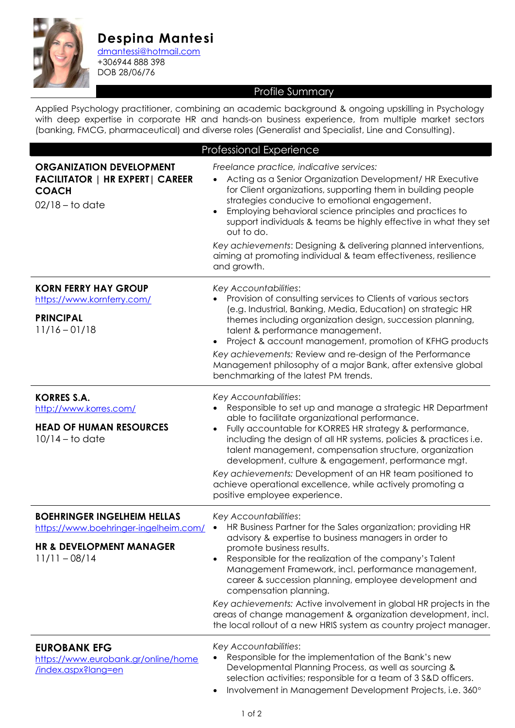

**Despina Mantesi** [dmantessi@hotmail.com](mailto:dmantessi@hotmail.com)

+306944 888 398 DOB 28/06/76

## Profile Summary

Applied Psychology practitioner, combining an academic background & ongoing upskilling in Psychology with deep expertise in corporate HR and hands-on business experience, from multiple market sectors (banking, FMCG, pharmaceutical) and diverse roles (Generalist and Specialist, Line and Consulting).

| <b>Professional Experience</b>                                                                                                        |                                                                                                                                                                                                                                                                                                                                                                                                                                                                                                                                                                                                           |  |
|---------------------------------------------------------------------------------------------------------------------------------------|-----------------------------------------------------------------------------------------------------------------------------------------------------------------------------------------------------------------------------------------------------------------------------------------------------------------------------------------------------------------------------------------------------------------------------------------------------------------------------------------------------------------------------------------------------------------------------------------------------------|--|
| <b>ORGANIZATION DEVELOPMENT</b><br><b>FACILITATOR   HR EXPERT   CAREER</b><br><b>COACH</b><br>$02/18 -$ to date                       | Freelance practice, indicative services:<br>Acting as a Senior Organization Development/ HR Executive<br>for Client organizations, supporting them in building people<br>strategies conducive to emotional engagement.<br>Employing behavioral science principles and practices to<br>$\bullet$<br>support individuals & teams be highly effective in what they set<br>out to do.<br>Key achievements: Designing & delivering planned interventions,<br>aiming at promoting individual & team effectiveness, resilience<br>and growth.                                                                    |  |
| <b>KORN FERRY HAY GROUP</b><br>https://www.kornferry.com/<br><b>PRINCIPAL</b><br>$11/16 - 01/18$                                      | Key Accountabilities:<br>Provision of consulting services to Clients of various sectors<br>(e.g. Industrial, Banking, Media, Education) on strategic HR<br>themes including organization design, succession planning,<br>talent & performance management.<br>Project & account management, promotion of KFHG products<br>$\bullet$<br>Key achievements: Review and re-design of the Performance<br>Management philosophy of a major Bank, after extensive global<br>benchmarking of the latest PM trends.                                                                                                 |  |
| <b>KORRES S.A.</b><br>http://www.korres.com/<br><b>HEAD OF HUMAN RESOURCES</b><br>$10/14$ – to date                                   | Key Accountabilities:<br>Responsible to set up and manage a strategic HR Department<br>able to facilitate organizational performance.<br>Fully accountable for KORRES HR strategy & performance,<br>$\bullet$<br>including the design of all HR systems, policies & practices i.e.<br>talent management, compensation structure, organization<br>development, culture & engagement, performance mgt.<br>Key achievements: Development of an HR team positioned to<br>achieve operational excellence, while actively promoting a<br>positive employee experience.                                          |  |
| <b>BOEHRINGER INGELHEIM HELLAS</b><br>https://www.boehringer-ingelheim.com/<br><b>HR &amp; DEVELOPMENT MANAGER</b><br>$11/11 - 08/14$ | Key Accountabilities:<br>HR Business Partner for the Sales organization; providing HR<br>advisory & expertise to business managers in order to<br>promote business results.<br>Responsible for the realization of the company's Talent<br>$\bullet$<br>Management Framework, incl. performance management,<br>career & succession planning, employee development and<br>compensation planning.<br>Key achievements: Active involvement in global HR projects in the<br>areas of change management & organization development, incl.<br>the local rollout of a new HRIS system as country project manager. |  |
| <b>EUROBANK EFG</b><br>https://www.eurobank.gr/online/home<br>/index.aspx?lang=en                                                     | Key Accountabilities:<br>Responsible for the implementation of the Bank's new<br>Developmental Planning Process, as well as sourcing &<br>selection activities; responsible for a team of 3 S&D officers.<br>Involvement in Management Development Projects, i.e. 360°                                                                                                                                                                                                                                                                                                                                    |  |